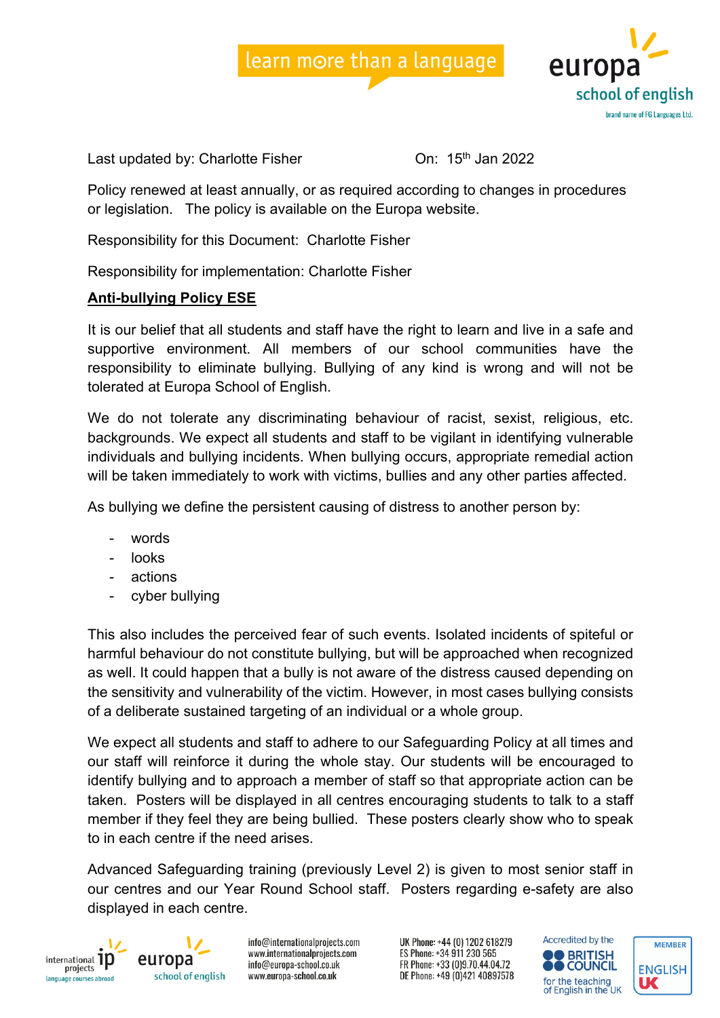



Last updated by: Charlotte Fisher **Channel Contact Contact Channel** On: 15<sup>th</sup> Jan 2022

Policy renewed at least annually, or as required according to changes in procedures or legislation. The policy is available on the Europa website.

Responsibility for this Document: Charlotte Fisher

Responsibility for implementation: Charlotte Fisher

## **Anti-bullying Policy ESE**

It is our belief that all students and staff have the right to learn and live in a safe and supportive environment. All members of our school communities have the responsibility to eliminate bullying. Bullying of any kind is wrong and will not be tolerated at Europa School of English.

We do not tolerate any discriminating behaviour of racist, sexist, religious, etc. backgrounds. We expect all students and staff to be vigilant in identifying vulnerable individuals and bullying incidents. When bullying occurs, appropriate remedial action will be taken immediately to work with victims, bullies and any other parties affected.

As bullying we define the persistent causing of distress to another person by:

- words
- looks
- actions
- cyber bullying

This also includes the perceived fear of such events. Isolated incidents of spiteful or harmful behaviour do not constitute bullying, but will be approached when recognized as well. It could happen that a bully is not aware of the distress caused depending on the sensitivity and vulnerability of the victim. However, in most cases bullying consists of a deliberate sustained targeting of an individual or a whole group.

We expect all students and staff to adhere to our Safeguarding Policy at all times and our staff will reinforce it during the whole stay. Our students will be encouraged to identify bullying and to approach a member of staff so that appropriate action can be taken. Posters will be displayed in all centres encouraging students to talk to a staff member if they feel they are being bullied. These posters clearly show who to speak to in each centre if the need arises.

Advanced Safeguarding training (previously Level 2) is given to most senior staff in our centres and our Year Round School staff. Posters regarding e-safety are also displayed in each centre.



europa school of english

info@internationalprojects.com www.internationalprojects.com info@europa-school.co.uk www.europa-school.co.uk

UK Phone: +44 (0) 1202 618279 ES Phone: +34 911 230 565 FR Phone: +33 (0)9.70.44.04.72 DE Phone: +49 (0)421 40897578